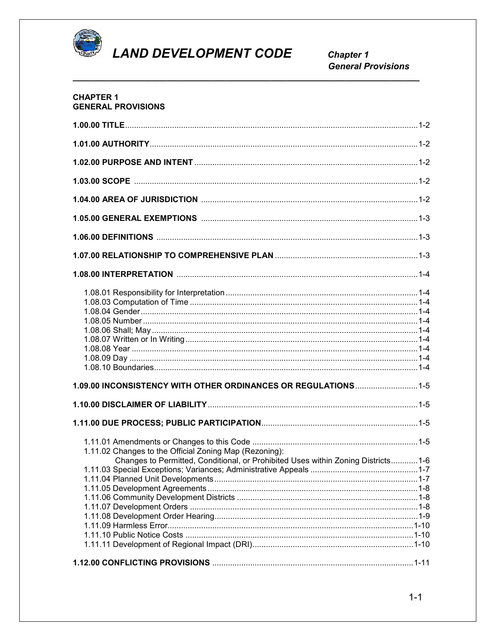

# **LAND DEVELOPMENT CODE**

**Chapter 1 General Provisions** 

#### **CHAPTER 1 GENERAL PROVISIONS**

| 1.09.00 INCONSISTENCY WITH OTHER ORDINANCES OR REGULATIONS  1-5                                                                             |  |
|---------------------------------------------------------------------------------------------------------------------------------------------|--|
|                                                                                                                                             |  |
|                                                                                                                                             |  |
| 1.11.02 Changes to the Official Zoning Map (Rezoning):<br>Changes to Permitted, Conditional, or Prohibited Uses within Zoning Districts 1-6 |  |
|                                                                                                                                             |  |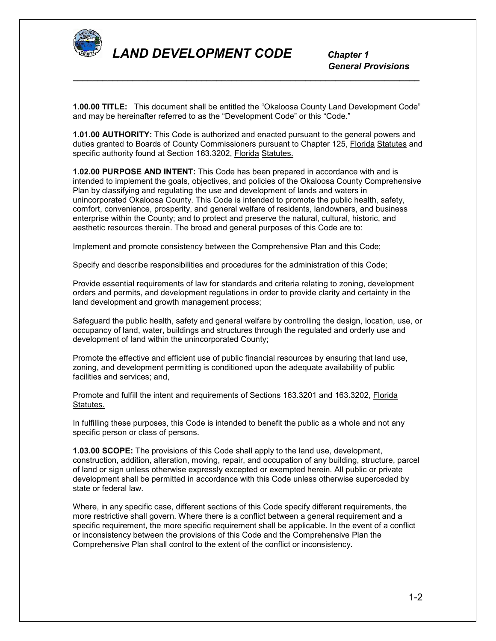

 *General Provisions*

**1.00.00 TITLE:** This document shall be entitled the "Okaloosa County Land Development Code" and may be hereinafter referred to as the "Development Code" or this "Code."

*\_\_\_\_\_\_\_\_\_\_\_\_\_\_\_\_\_\_\_\_\_\_\_\_\_\_\_\_\_\_\_\_\_\_\_\_\_\_\_\_\_\_\_\_\_\_\_\_\_\_\_\_\_\_\_\_\_\_\_\_\_\_\_\_\_\_\_\_\_\_*

**1.01.00 AUTHORITY:** This Code is authorized and enacted pursuant to the general powers and duties granted to Boards of County Commissioners pursuant to Chapter 125, Florida Statutes and specific authority found at Section 163.3202, Florida Statutes.

**1.02.00 PURPOSE AND INTENT:** This Code has been prepared in accordance with and is intended to implement the goals, objectives, and policies of the Okaloosa County Comprehensive Plan by classifying and regulating the use and development of lands and waters in unincorporated Okaloosa County. This Code is intended to promote the public health, safety, comfort, convenience, prosperity, and general welfare of residents, landowners, and business enterprise within the County; and to protect and preserve the natural, cultural, historic, and aesthetic resources therein. The broad and general purposes of this Code are to:

Implement and promote consistency between the Comprehensive Plan and this Code;

Specify and describe responsibilities and procedures for the administration of this Code;

Provide essential requirements of law for standards and criteria relating to zoning, development orders and permits, and development regulations in order to provide clarity and certainty in the land development and growth management process;

Safeguard the public health, safety and general welfare by controlling the design, location, use, or occupancy of land, water, buildings and structures through the regulated and orderly use and development of land within the unincorporated County;

Promote the effective and efficient use of public financial resources by ensuring that land use, zoning, and development permitting is conditioned upon the adequate availability of public facilities and services; and,

Promote and fulfill the intent and requirements of Sections 163.3201 and 163.3202, Florida Statutes.

In fulfilling these purposes, this Code is intended to benefit the public as a whole and not any specific person or class of persons.

**1.03.00 SCOPE:** The provisions of this Code shall apply to the land use, development, construction, addition, alteration, moving, repair, and occupation of any building, structure, parcel of land or sign unless otherwise expressly excepted or exempted herein. All public or private development shall be permitted in accordance with this Code unless otherwise superceded by state or federal law.

Where, in any specific case, different sections of this Code specify different requirements, the more restrictive shall govern. Where there is a conflict between a general requirement and a specific requirement, the more specific requirement shall be applicable. In the event of a conflict or inconsistency between the provisions of this Code and the Comprehensive Plan the Comprehensive Plan shall control to the extent of the conflict or inconsistency.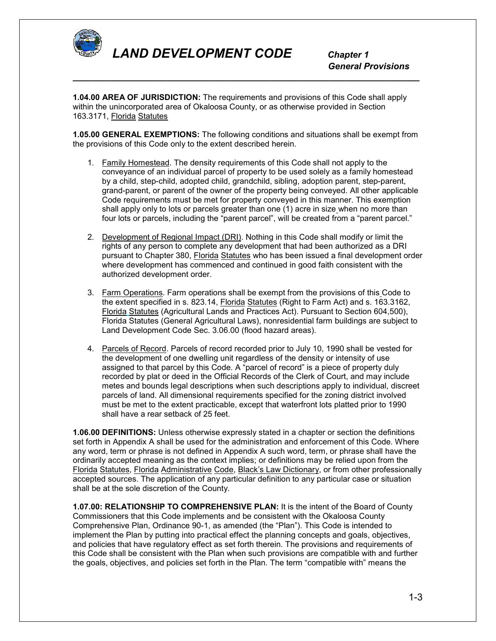

 *General Provisions*

**1.04.00 AREA OF JURISDICTION:** The requirements and provisions of this Code shall apply within the unincorporated area of Okaloosa County, or as otherwise provided in Section 163.3171, Florida Statutes

*\_\_\_\_\_\_\_\_\_\_\_\_\_\_\_\_\_\_\_\_\_\_\_\_\_\_\_\_\_\_\_\_\_\_\_\_\_\_\_\_\_\_\_\_\_\_\_\_\_\_\_\_\_\_\_\_\_\_\_\_\_\_\_\_\_\_\_\_\_\_*

**1.05.00 GENERAL EXEMPTIONS:** The following conditions and situations shall be exempt from the provisions of this Code only to the extent described herein.

- 1. Family Homestead. The density requirements of this Code shall not apply to the conveyance of an individual parcel of property to be used solely as a family homestead by a child, step-child, adopted child, grandchild, sibling, adoption parent, step-parent, grand-parent, or parent of the owner of the property being conveyed. All other applicable Code requirements must be met for property conveyed in this manner. This exemption shall apply only to lots or parcels greater than one (1) acre in size when no more than four lots or parcels, including the "parent parcel", will be created from a "parent parcel."
- 2. Development of Regional Impact (DRI). Nothing in this Code shall modify or limit the rights of any person to complete any development that had been authorized as a DRI pursuant to Chapter 380, Florida Statutes who has been issued a final development order where development has commenced and continued in good faith consistent with the authorized development order.
- 3. Farm Operations. Farm operations shall be exempt from the provisions of this Code to the extent specified in s. 823.14, Florida Statutes (Right to Farm Act) and s. 163.3162, Florida Statutes (Agricultural Lands and Practices Act). Pursuant to Section 604,500), Florida Statutes (General Agricultural Laws), nonresidential farm buildings are subject to Land Development Code Sec. 3.06.00 (flood hazard areas).
- 4. Parcels of Record. Parcels of record recorded prior to July 10, 1990 shall be vested for the development of one dwelling unit regardless of the density or intensity of use assigned to that parcel by this Code. A "parcel of record" is a piece of property duly recorded by plat or deed in the Official Records of the Clerk of Court, and may include metes and bounds legal descriptions when such descriptions apply to individual, discreet parcels of land. All dimensional requirements specified for the zoning district involved must be met to the extent practicable, except that waterfront lots platted prior to 1990 shall have a rear setback of 25 feet.

**1.06.00 DEFINITIONS:** Unless otherwise expressly stated in a chapter or section the definitions set forth in Appendix A shall be used for the administration and enforcement of this Code. Where any word, term or phrase is not defined in Appendix A such word, term, or phrase shall have the ordinarily accepted meaning as the context implies; or definitions may be relied upon from the Florida Statutes, Florida Administrative Code, Black's Law Dictionary, or from other professionally accepted sources. The application of any particular definition to any particular case or situation shall be at the sole discretion of the County.

**1.07.00: RELATIONSHIP TO COMPREHENSIVE PLAN:** It is the intent of the Board of County Commissioners that this Code implements and be consistent with the Okaloosa County Comprehensive Plan, Ordinance 90-1, as amended (the "Plan"). This Code is intended to implement the Plan by putting into practical effect the planning concepts and goals, objectives, and policies that have regulatory effect as set forth therein. The provisions and requirements of this Code shall be consistent with the Plan when such provisions are compatible with and further the goals, objectives, and policies set forth in the Plan. The term "compatible with" means the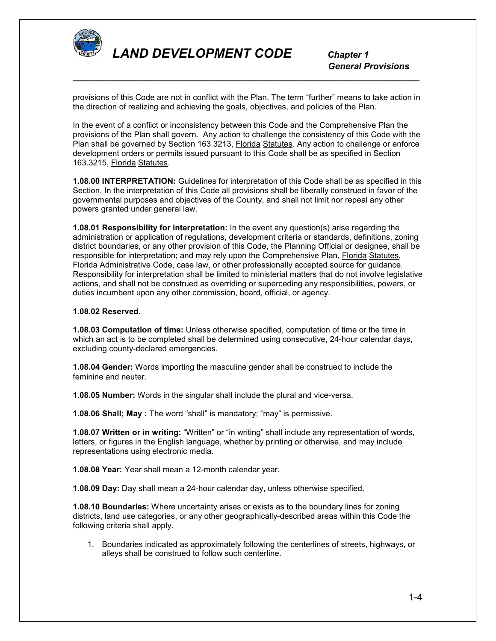

 *General Provisions*

provisions of this Code are not in conflict with the Plan. The term "further" means to take action in the direction of realizing and achieving the goals, objectives, and policies of the Plan.

*\_\_\_\_\_\_\_\_\_\_\_\_\_\_\_\_\_\_\_\_\_\_\_\_\_\_\_\_\_\_\_\_\_\_\_\_\_\_\_\_\_\_\_\_\_\_\_\_\_\_\_\_\_\_\_\_\_\_\_\_\_\_\_\_\_\_\_\_\_\_*

In the event of a conflict or inconsistency between this Code and the Comprehensive Plan the provisions of the Plan shall govern. Any action to challenge the consistency of this Code with the Plan shall be governed by Section 163.3213, Florida Statutes. Any action to challenge or enforce development orders or permits issued pursuant to this Code shall be as specified in Section 163.3215, Florida Statutes.

**1.08.00 INTERPRETATION:** Guidelines for interpretation of this Code shall be as specified in this Section. In the interpretation of this Code all provisions shall be liberally construed in favor of the governmental purposes and objectives of the County, and shall not limit nor repeal any other powers granted under general law.

**1.08.01 Responsibility for interpretation:** In the event any question(s) arise regarding the administration or application of regulations, development criteria or standards, definitions, zoning district boundaries, or any other provision of this Code, the Planning Official or designee, shall be responsible for interpretation; and may rely upon the Comprehensive Plan, Florida Statutes, Florida Administrative Code, case law, or other professionally accepted source for guidance. Responsibility for interpretation shall be limited to ministerial matters that do not involve legislative actions, and shall not be construed as overriding or superceding any responsibilities, powers, or duties incumbent upon any other commission, board, official, or agency.

#### **1.08.02 Reserved.**

**1.08.03 Computation of time:** Unless otherwise specified, computation of time or the time in which an act is to be completed shall be determined using consecutive, 24-hour calendar days, excluding county-declared emergencies.

**1.08.04 Gender:** Words importing the masculine gender shall be construed to include the feminine and neuter.

**1.08.05 Number:** Words in the singular shall include the plural and vice-versa.

**1.08.06 Shall; May :** The word "shall" is mandatory; "may" is permissive.

**1.08.07 Written or in writing:** "Written" or "in writing" shall include any representation of words, letters, or figures in the English language, whether by printing or otherwise, and may include representations using electronic media.

**1.08.08 Year:** Year shall mean a 12-month calendar year.

**1.08.09 Day:** Day shall mean a 24-hour calendar day, unless otherwise specified.

**1.08.10 Boundaries:** Where uncertainty arises or exists as to the boundary lines for zoning districts, land use categories, or any other geographically-described areas within this Code the following criteria shall apply.

1. Boundaries indicated as approximately following the centerlines of streets, highways, or alleys shall be construed to follow such centerline.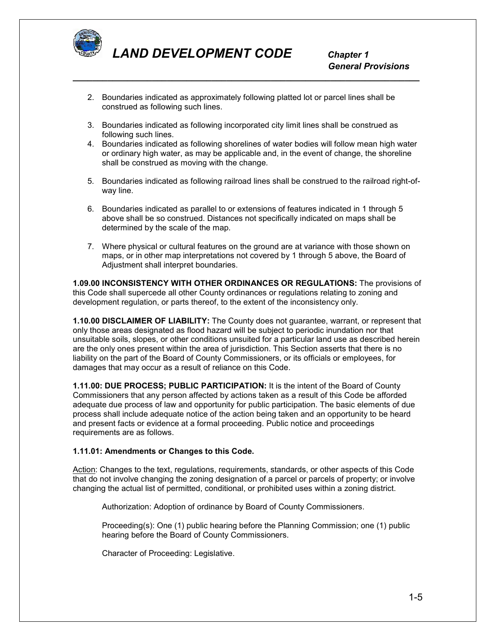

2. Boundaries indicated as approximately following platted lot or parcel lines shall be construed as following such lines.

*\_\_\_\_\_\_\_\_\_\_\_\_\_\_\_\_\_\_\_\_\_\_\_\_\_\_\_\_\_\_\_\_\_\_\_\_\_\_\_\_\_\_\_\_\_\_\_\_\_\_\_\_\_\_\_\_\_\_\_\_\_\_\_\_\_\_\_\_\_\_*

- 3. Boundaries indicated as following incorporated city limit lines shall be construed as following such lines.
- 4. Boundaries indicated as following shorelines of water bodies will follow mean high water or ordinary high water, as may be applicable and, in the event of change, the shoreline shall be construed as moving with the change.
- 5. Boundaries indicated as following railroad lines shall be construed to the railroad right-ofway line.
- 6. Boundaries indicated as parallel to or extensions of features indicated in 1 through 5 above shall be so construed. Distances not specifically indicated on maps shall be determined by the scale of the map.
- 7. Where physical or cultural features on the ground are at variance with those shown on maps, or in other map interpretations not covered by 1 through 5 above, the Board of Adjustment shall interpret boundaries.

**1.09.00 INCONSISTENCY WITH OTHER ORDINANCES OR REGULATIONS:** The provisions of this Code shall supercede all other County ordinances or regulations relating to zoning and development regulation, or parts thereof, to the extent of the inconsistency only.

**1.10.00 DISCLAIMER OF LIABILITY:** The County does not guarantee, warrant, or represent that only those areas designated as flood hazard will be subject to periodic inundation nor that unsuitable soils, slopes, or other conditions unsuited for a particular land use as described herein are the only ones present within the area of jurisdiction. This Section asserts that there is no liability on the part of the Board of County Commissioners, or its officials or employees, for damages that may occur as a result of reliance on this Code.

**1.11.00: DUE PROCESS; PUBLIC PARTICIPATION:** It is the intent of the Board of County Commissioners that any person affected by actions taken as a result of this Code be afforded adequate due process of law and opportunity for public participation. The basic elements of due process shall include adequate notice of the action being taken and an opportunity to be heard and present facts or evidence at a formal proceeding. Public notice and proceedings requirements are as follows.

## **1.11.01: Amendments or Changes to this Code.**

Action: Changes to the text, regulations, requirements, standards, or other aspects of this Code that do not involve changing the zoning designation of a parcel or parcels of property; or involve changing the actual list of permitted, conditional, or prohibited uses within a zoning district.

Authorization: Adoption of ordinance by Board of County Commissioners.

Proceeding(s): One (1) public hearing before the Planning Commission; one (1) public hearing before the Board of County Commissioners.

Character of Proceeding: Legislative.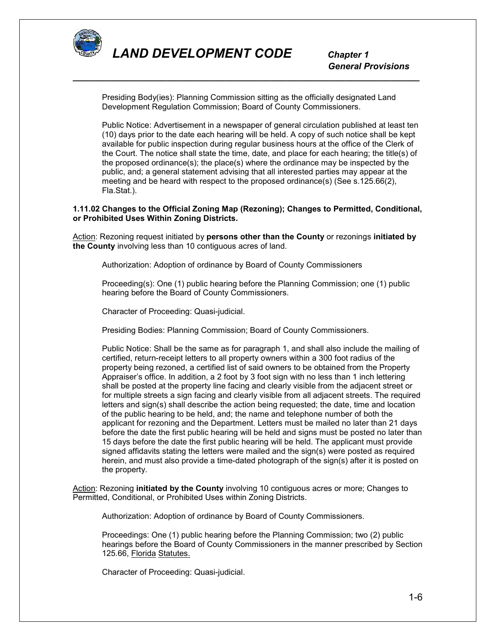

Presiding Body(ies): Planning Commission sitting as the officially designated Land Development Regulation Commission; Board of County Commissioners.

*\_\_\_\_\_\_\_\_\_\_\_\_\_\_\_\_\_\_\_\_\_\_\_\_\_\_\_\_\_\_\_\_\_\_\_\_\_\_\_\_\_\_\_\_\_\_\_\_\_\_\_\_\_\_\_\_\_\_\_\_\_\_\_\_\_\_\_\_\_\_*

Public Notice: Advertisement in a newspaper of general circulation published at least ten (10) days prior to the date each hearing will be held. A copy of such notice shall be kept available for public inspection during regular business hours at the office of the Clerk of the Court. The notice shall state the time, date, and place for each hearing; the title(s) of the proposed ordinance(s); the place(s) where the ordinance may be inspected by the public, and; a general statement advising that all interested parties may appear at the meeting and be heard with respect to the proposed ordinance(s) (See s.125.66(2), Fla.Stat.).

## **1.11.02 Changes to the Official Zoning Map (Rezoning); Changes to Permitted, Conditional, or Prohibited Uses Within Zoning Districts.**

Action: Rezoning request initiated by **persons other than the County** or rezonings **initiated by the County** involving less than 10 contiguous acres of land.

Authorization: Adoption of ordinance by Board of County Commissioners

Proceeding(s): One (1) public hearing before the Planning Commission; one (1) public hearing before the Board of County Commissioners.

Character of Proceeding: Quasi-judicial.

Presiding Bodies: Planning Commission; Board of County Commissioners.

Public Notice: Shall be the same as for paragraph 1, and shall also include the mailing of certified, return-receipt letters to all property owners within a 300 foot radius of the property being rezoned, a certified list of said owners to be obtained from the Property Appraiser's office. In addition, a 2 foot by 3 foot sign with no less than 1 inch lettering shall be posted at the property line facing and clearly visible from the adjacent street or for multiple streets a sign facing and clearly visible from all adjacent streets. The required letters and sign(s) shall describe the action being requested; the date, time and location of the public hearing to be held, and; the name and telephone number of both the applicant for rezoning and the Department. Letters must be mailed no later than 21 days before the date the first public hearing will be held and signs must be posted no later than 15 days before the date the first public hearing will be held. The applicant must provide signed affidavits stating the letters were mailed and the sign(s) were posted as required herein, and must also provide a time-dated photograph of the sign(s) after it is posted on the property.

Action: Rezoning **initiated by the County** involving 10 contiguous acres or more; Changes to Permitted, Conditional, or Prohibited Uses within Zoning Districts.

Authorization: Adoption of ordinance by Board of County Commissioners.

Proceedings: One (1) public hearing before the Planning Commission; two (2) public hearings before the Board of County Commissioners in the manner prescribed by Section 125.66, Florida Statutes.

Character of Proceeding: Quasi-judicial.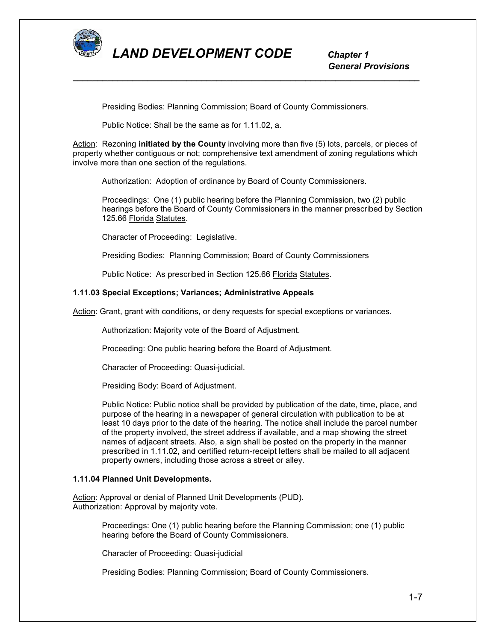

 *General Provisions*

Presiding Bodies: Planning Commission; Board of County Commissioners.

Public Notice: Shall be the same as for 1.11.02, a.

Action: Rezoning **initiated by the County** involving more than five (5) lots, parcels, or pieces of property whether contiguous or not; comprehensive text amendment of zoning regulations which involve more than one section of the regulations.

*\_\_\_\_\_\_\_\_\_\_\_\_\_\_\_\_\_\_\_\_\_\_\_\_\_\_\_\_\_\_\_\_\_\_\_\_\_\_\_\_\_\_\_\_\_\_\_\_\_\_\_\_\_\_\_\_\_\_\_\_\_\_\_\_\_\_\_\_\_\_*

Authorization: Adoption of ordinance by Board of County Commissioners.

Proceedings: One (1) public hearing before the Planning Commission, two (2) public hearings before the Board of County Commissioners in the manner prescribed by Section 125.66 Florida Statutes.

Character of Proceeding: Legislative.

Presiding Bodies: Planning Commission; Board of County Commissioners

Public Notice: As prescribed in Section 125.66 Florida Statutes.

#### **1.11.03 Special Exceptions; Variances; Administrative Appeals**

Action: Grant, grant with conditions, or deny requests for special exceptions or variances.

Authorization: Majority vote of the Board of Adjustment.

Proceeding: One public hearing before the Board of Adjustment.

Character of Proceeding: Quasi-judicial.

Presiding Body: Board of Adjustment.

Public Notice: Public notice shall be provided by publication of the date, time, place, and purpose of the hearing in a newspaper of general circulation with publication to be at least 10 days prior to the date of the hearing. The notice shall include the parcel number of the property involved, the street address if available, and a map showing the street names of adjacent streets. Also, a sign shall be posted on the property in the manner prescribed in 1.11.02, and certified return-receipt letters shall be mailed to all adjacent property owners, including those across a street or alley.

#### **1.11.04 Planned Unit Developments.**

Action: Approval or denial of Planned Unit Developments (PUD). Authorization: Approval by majority vote.

> Proceedings: One (1) public hearing before the Planning Commission; one (1) public hearing before the Board of County Commissioners.

Character of Proceeding: Quasi-judicial

Presiding Bodies: Planning Commission; Board of County Commissioners.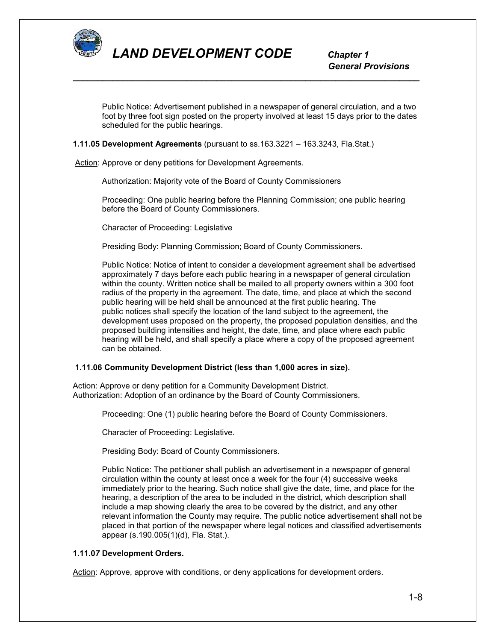

Public Notice: Advertisement published in a newspaper of general circulation, and a two foot by three foot sign posted on the property involved at least 15 days prior to the dates scheduled for the public hearings.

*\_\_\_\_\_\_\_\_\_\_\_\_\_\_\_\_\_\_\_\_\_\_\_\_\_\_\_\_\_\_\_\_\_\_\_\_\_\_\_\_\_\_\_\_\_\_\_\_\_\_\_\_\_\_\_\_\_\_\_\_\_\_\_\_\_\_\_\_\_\_*

## **1.11.05 Development Agreements** (pursuant to ss.163.3221 – 163.3243, Fla.Stat.)

Action: Approve or deny petitions for Development Agreements.

Authorization: Majority vote of the Board of County Commissioners

Proceeding: One public hearing before the Planning Commission; one public hearing before the Board of County Commissioners.

Character of Proceeding: Legislative

Presiding Body: Planning Commission; Board of County Commissioners.

Public Notice: Notice of intent to consider a development agreement shall be advertised approximately 7 days before each public hearing in a newspaper of general circulation within the county. Written notice shall be mailed to all property owners within a 300 foot radius of the property in the agreement. The date, time, and place at which the second public hearing will be held shall be announced at the first public hearing. The public notices shall specify the location of the land subject to the agreement, the development uses proposed on the property, the proposed population densities, and the proposed building intensities and height, the date, time, and place where each public hearing will be held, and shall specify a place where a copy of the proposed agreement can be obtained.

## **1.11.06 Community Development District (less than 1,000 acres in size).**

Action: Approve or deny petition for a Community Development District. Authorization: Adoption of an ordinance by the Board of County Commissioners.

Proceeding: One (1) public hearing before the Board of County Commissioners.

Character of Proceeding: Legislative.

Presiding Body: Board of County Commissioners.

Public Notice: The petitioner shall publish an advertisement in a newspaper of general circulation within the county at least once a week for the four (4) successive weeks immediately prior to the hearing. Such notice shall give the date, time, and place for the hearing, a description of the area to be included in the district, which description shall include a map showing clearly the area to be covered by the district, and any other relevant information the County may require. The public notice advertisement shall not be placed in that portion of the newspaper where legal notices and classified advertisements appear (s.190.005(1)(d), Fla. Stat.).

## **1.11.0***7* **Development Orders.**

Action: Approve, approve with conditions, or deny applications for development orders.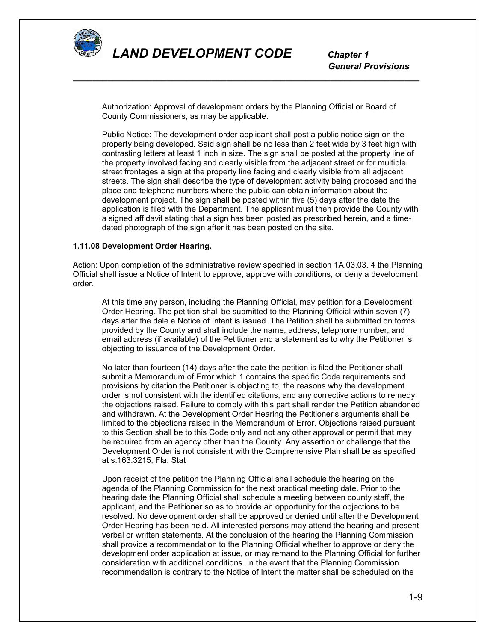

 *General Provisions*

Authorization: Approval of development orders by the Planning Official or Board of County Commissioners, as may be applicable.

*\_\_\_\_\_\_\_\_\_\_\_\_\_\_\_\_\_\_\_\_\_\_\_\_\_\_\_\_\_\_\_\_\_\_\_\_\_\_\_\_\_\_\_\_\_\_\_\_\_\_\_\_\_\_\_\_\_\_\_\_\_\_\_\_\_\_\_\_\_\_*

Public Notice: The development order applicant shall post a public notice sign on the property being developed. Said sign shall be no less than 2 feet wide by 3 feet high with contrasting letters at least 1 inch in size. The sign shall be posted at the property line of the property involved facing and clearly visible from the adjacent street or for multiple street frontages a sign at the property line facing and clearly visible from all adjacent streets. The sign shall describe the type of development activity being proposed and the place and telephone numbers where the public can obtain information about the development project. The sign shall be posted within five (5) days after the date the application is filed with the Department. The applicant must then provide the County with a signed affidavit stating that a sign has been posted as prescribed herein, and a timedated photograph of the sign after it has been posted on the site.

#### **1.11.08 Development Order Hearing.**

Action: Upon completion of the administrative review specified in section 1A.03.03. 4 the Planning Official shall issue a Notice of Intent to approve, approve with conditions, or deny a development order.

At this time any person, including the Planning Official, may petition for a Development Order Hearing. The petition shall be submitted to the Planning Official within seven (7) days after the dale a Notice of Intent is issued. The Petition shall be submitted on forms provided by the County and shall include the name, address, telephone number, and email address (if available) of the Petitioner and a statement as to why the Petitioner is objecting to issuance of the Development Order.

No later than fourteen (14) days after the date the petition is filed the Petitioner shall submit a Memorandum of Error which 1 contains the specific Code requirements and provisions by citation the Petitioner is objecting to, the reasons why the development order is not consistent with the identified citations, and any corrective actions to remedy the objections raised. Failure to comply with this part shall render the Petition abandoned and withdrawn. At the Development Order Hearing the Petitioner's arguments shall be limited to the objections raised in the Memorandum of Error. Objections raised pursuant to this Section shall be to this Code only and not any other approval or permit that may be required from an agency other than the County. Any assertion or challenge that the Development Order is not consistent with the Comprehensive Plan shall be as specified at s.163.3215, Fla. Stat

Upon receipt of the petition the Planning Official shall schedule the hearing on the agenda of the Planning Commission for the next practical meeting date. Prior to the hearing date the Planning Official shall schedule a meeting between county staff, the applicant, and the Petitioner so as to provide an opportunity for the objections to be resolved. No development order shall be approved or denied until after the Development Order Hearing has been held. All interested persons may attend the hearing and present verbal or written statements. At the conclusion of the hearing the Planning Commission shall provide a recommendation to the Planning Official whether to approve or deny the development order application at issue, or may remand to the Planning Official for further consideration with additional conditions. In the event that the Planning Commission recommendation is contrary to the Notice of Intent the matter shall be scheduled on the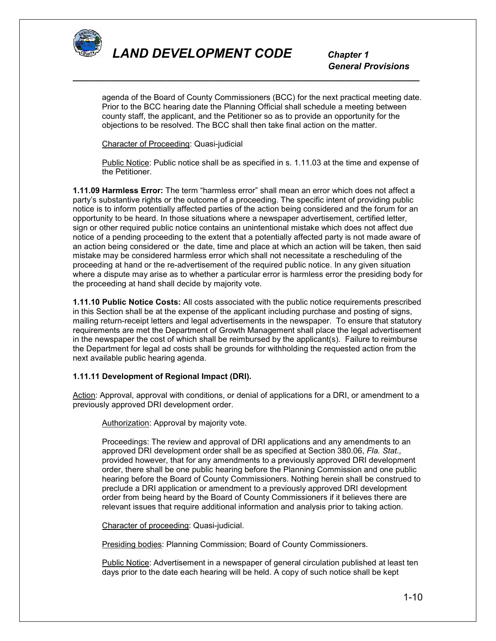

 *General Provisions*

agenda of the Board of County Commissioners (BCC) for the next practical meeting date. Prior to the BCC hearing date the Planning Official shall schedule a meeting between county staff, the applicant, and the Petitioner so as to provide an opportunity for the objections to be resolved. The BCC shall then take final action on the matter.

*\_\_\_\_\_\_\_\_\_\_\_\_\_\_\_\_\_\_\_\_\_\_\_\_\_\_\_\_\_\_\_\_\_\_\_\_\_\_\_\_\_\_\_\_\_\_\_\_\_\_\_\_\_\_\_\_\_\_\_\_\_\_\_\_\_\_\_\_\_\_*

Character of Proceeding: Quasi-judicial

Public Notice: Public notice shall be as specified in s. 1.11.03 at the time and expense of the Petitioner.

**1.11.09 Harmless Error:** The term "harmless error" shall mean an error which does not affect a party's substantive rights or the outcome of a proceeding. The specific intent of providing public notice is to inform potentially affected parties of the action being considered and the forum for an opportunity to be heard. In those situations where a newspaper advertisement, certified letter, sign or other required public notice contains an unintentional mistake which does not affect due notice of a pending proceeding to the extent that a potentially affected party is not made aware of an action being considered or the date, time and place at which an action will be taken, then said mistake may be considered harmless error which shall not necessitate a rescheduling of the proceeding at hand or the re-advertisement of the required public notice. In any given situation where a dispute may arise as to whether a particular error is harmless error the presiding body for the proceeding at hand shall decide by majority vote.

**1.11.10 Public Notice Costs:** All costs associated with the public notice requirements prescribed in this Section shall be at the expense of the applicant including purchase and posting of signs, mailing return-receipt letters and legal advertisements in the newspaper. To ensure that statutory requirements are met the Department of Growth Management shall place the legal advertisement in the newspaper the cost of which shall be reimbursed by the applicant(s). Failure to reimburse the Department for legal ad costs shall be grounds for withholding the requested action from the next available public hearing agenda.

## **1.11.11 Development of Regional Impact (DRI).**

Action: Approval, approval with conditions, or denial of applications for a DRI, or amendment to a previously approved DRI development order.

Authorization: Approval by majority vote.

Proceedings: The review and approval of DRI applications and any amendments to an approved DRI development order shall be as specified at Section 380.06, *Fla. Stat.,*  provided however, that for any amendments to a previously approved DRI development order, there shall be one public hearing before the Planning Commission and one public hearing before the Board of County Commissioners. Nothing herein shall be construed to preclude a DRI application or amendment to a previously approved DRI development order from being heard by the Board of County Commissioners if it believes there are relevant issues that require additional information and analysis prior to taking action.

Character of proceeding: Quasi-judicial.

Presiding bodies: Planning Commission; Board of County Commissioners.

Public Notice: Advertisement in a newspaper of general circulation published at least ten days prior to the date each hearing will be held. A copy of such notice shall be kept